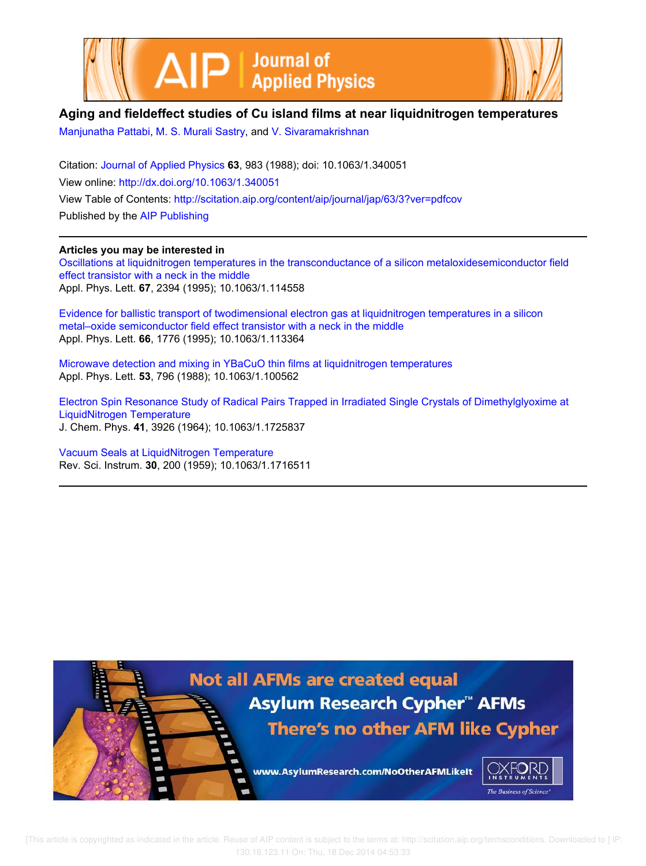



## **Aging and fieldeffect studies of Cu island films at near liquidnitrogen temperatures**

Manjunatha Pattabi, M. S. Murali Sastry, and V. Sivaramakrishnan

Citation: Journal of Applied Physics **63**, 983 (1988); doi: 10.1063/1.340051 View online: http://dx.doi.org/10.1063/1.340051 View Table of Contents: http://scitation.aip.org/content/aip/journal/jap/63/3?ver=pdfcov Published by the AIP Publishing

## **Articles you may be interested in**

Oscillations at liquidnitrogen temperatures in the transconductance of a silicon metaloxidesemiconductor field effect transistor with a neck in the middle Appl. Phys. Lett. **67**, 2394 (1995); 10.1063/1.114558

Evidence for ballistic transport of twodimensional electron gas at liquidnitrogen temperatures in a silicon metal–oxide semiconductor field effect transistor with a neck in the middle Appl. Phys. Lett. **66**, 1776 (1995); 10.1063/1.113364

Microwave detection and mixing in YBaCuO thin films at liquidnitrogen temperatures Appl. Phys. Lett. **53**, 796 (1988); 10.1063/1.100562

Electron Spin Resonance Study of Radical Pairs Trapped in Irradiated Single Crystals of Dimethylglyoxime at LiquidNitrogen Temperature J. Chem. Phys. **41**, 3926 (1964); 10.1063/1.1725837

Vacuum Seals at LiquidNitrogen Temperature Rev. Sci. Instrum. **30**, 200 (1959); 10.1063/1.1716511

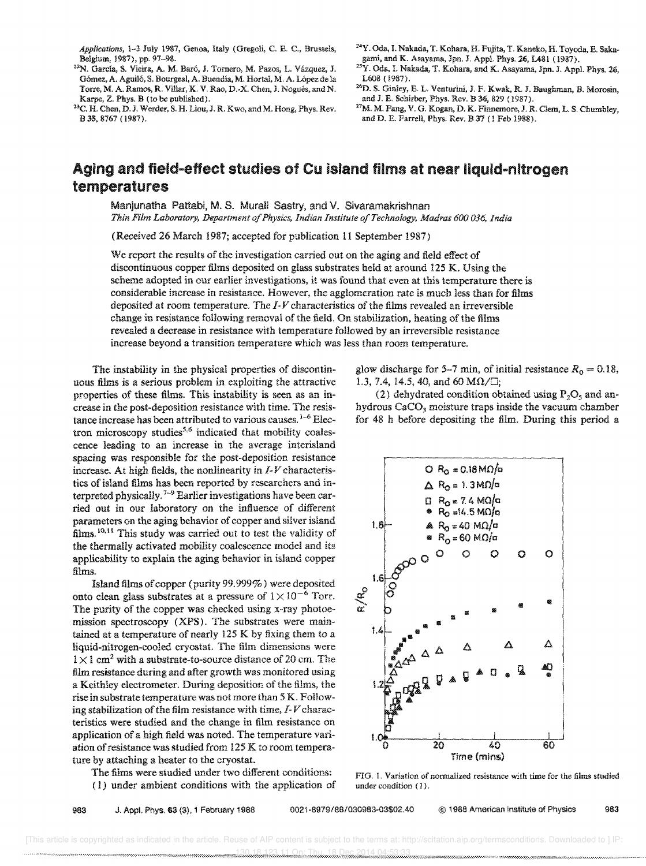Applications, 1-3 July 1987, Genoa, Italy (Gregoli, C. E. C., Brussels, Belgium, 1987), pp. 97-98.

- <sup>22</sup>N. García, S. Vieira, A. M. Baró, J. Tornero, M. Pazos, L. Vázquez, J. Gómez, A. Aguiló, S. Bourgeal, A. Buendía, M. Hortal, M. A. López de la Torre, M. A. Ramos, R. Villar, K. V. Rao. D.-X. Chen, J. Nogues, and N. Karpe, Z. Phys. B (to be published).
- <sup>23</sup>C. H. Chen, D. J. Werder, S. H. Liou, J. R. Kwo, and M. Hong, Phys. Rev. B 35.8767 (1987).
- <sup>24</sup>Y. Oda, I. Nakada, T. Kohara, H. Fujita, T. Kaneko, H. Toyoda, E. Sakagami, and K. A\$ayama. Jpn. J. Appl. Phys. 26, L481 (1987).
- <sup>25</sup>Y. Ods, I. Nakada, T. Kohara, and K. Asayama, Jpn. J. Appl. Phys. 26, L608 (1987).
- 26D. S. Ginley, E. L. Venturini, J. F. Kwak, R. J. Baughman, B. Morosin, and J. E. Schirber, Phys. Rev. B 36, 829 (1987).
- <sup>27</sup>M. M. Fang, V. G. Kogan, D. K. Finnemore, J. R. Clem, L. S. Chumbley, and D. E. Farrell, Phys. Rev. B 37 (1 Feb 1988).

## Aging and field-effect studies of Cu island films at near liquid-nitrogen temperatures

Manjunatha Pattabi, M. S. Murali Sastry, and V. Sivaramakrishnan *Thin Film Laboratory, Department 0/ Physics, Indian Institute a/Technology, Madras 600 036, India* 

(Received 26 March 1987; accepted for publication 11 September 1987)

We report the results of the investigation carried out on the aging and field effect of discontinuous copper films deposited on glass substrates held at around 125 K. Using the scheme adopted in our earlier investigations, it was found that even at this temperature there is considerable increase in resistance. However, the agglomeration rate is much less than for films deposited at room temperature. The 1-*V* characteristics of the films revealed an irreversible change in resistance following removal of the field. On stabilization, heating of the films revealed a decrease in resistance with temperature followed by an irreversible resistance increase beyond a transition temperature which was less than room temperature.

The instability in the physical properties of discontinuous films is a serious problem in exploiting the attractive properties of these films. This instability is seen as an increase in the post-deposition resistance with time. The resistance increase has been attributed to various causes.  $1-6$  Electron microscopy studies<sup>5,6</sup> indicated that mobility coalescence leading to an increase in the average interisland spacing was responsible for the post-deposition resistance increase. At high fields, the nonlinearity in  $I$ - $V$  characteristics of island films has been reported by researchers and interpreted physically.<sup>7-9</sup> Earlier investigations have been carried out in our laboratory on the influence of different parameters on the aging behavior of copper and silver island films.<sup>10,11</sup> This study was carried out to test the validity of the thermally activated mobility coalescence model and its applicability to explain the aging behavior in island copper films.

Island films of copper (purity 99.999%) were deposited onto clean glass substrates at a pressure of  $1 \times 10^{-6}$  Torr. The purity of the copper was checked using x-ray photoemission spectroscopy (XPS). The substrates were maintained at a temperature of nearly 125 K by fixing them to a liquid-nitrogen-cooled cryostat. The film dimensions were  $1 \times 1$  cm<sup>2</sup> with a substrate-to-source distance of 20 cm. The film resistance during and after growth was monitored using a Keithley electrometer. During deposition of the films, the rise in substrate temperature was not more than 5 K. Following stabilization of the film resistance with time,  $I - V$  characteristics were studied and the change in film resistance on application of a high field was noted. The temperature variation of resistance was studied from 125 K to room temperature by attaching a heater to the cryostat.

The films were studied under two different conditions: ( 1) under ambient conditions with the application of glow discharge for 5-7 min, of initial resistance  $R_0 = 0.18$ , 1.3, 7.4, 14.5, 40, and 60  $M\Omega/\Box$ ;

(2) dehydrated condition obtained using  $P_2O_5$  and anhydrous CaCO<sub>3</sub> moisture traps inside the vacuum chamber for 48 h before depositing the film. During this period a



FIG. 1. Variation of normalized resistance with time for the films studied under condition (1).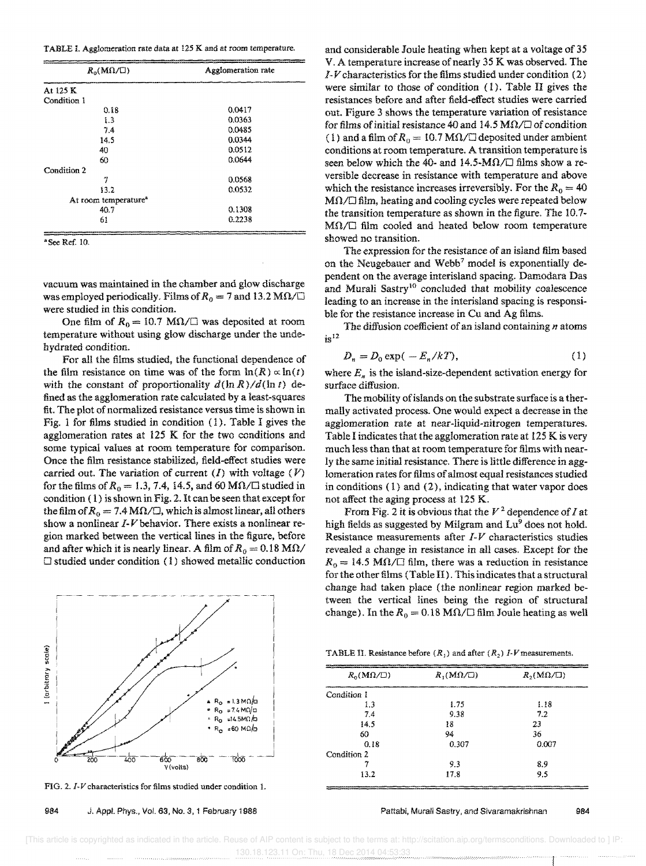| TABLE I. Agglomeration rate data at 125 K and at room temperature. |  |  |  |
|--------------------------------------------------------------------|--|--|--|
|--------------------------------------------------------------------|--|--|--|

| Agglomeration rate |
|--------------------|
|                    |
|                    |
| 0.0417             |
| 0.0363             |
| 0.0485             |
| 0.0344             |
| 0.0512             |
| 0.0644             |
|                    |
| 0.0568             |
| 0.0532             |
|                    |
| 0.1308             |
| 0.2238             |
|                    |

• See Ref. 10.

vacuum was maintained in the chamber and glow discharge was employed periodically. Films of  $R_0 = 7$  and 13.2 M $\Omega / \Box$ were studied in this condition.

One film of  $R_0 = 10.7$  M $\Omega / \square$  was deposited at room temperature without using glow discharge under the undehydrated condition.

For all the films studied, the functional dependence of the film resistance on time was of the form  $\ln(R) \propto \ln(t)$ with the constant of proportionality  $d(\ln R)/d(\ln t)$  defined as the agglomeration rate calculated by a least-squares fit. The plot of normalized resistance versus time is shown in Fig. 1 for films studied in condition (1). Table I gives the agglomeration rates at 125 K for the two conditions and some typical values at room temperature for comparison. Once the film resistance stabilized, field-effect studies were carried out. The variation of current  $(I)$  with voltage  $(V)$ for the films of  $R_0 = 1.3, 7.4, 14.5,$  and 60 M $\Omega / \square$  studied in condition ( 1) is shown in Fig. 2. It can be seen that except for the film of  $R_0 = 7.4 \text{ M}\Omega/\square$ , which is almost linear, all others show a nonlinear  $I-V$  behavior. There exists a nonlinear region marked between the vertical lines in the figure, before and after which it is nearly linear. A film of  $R_0 = 0.18$  M $\Omega$ /  $\Box$  studied under condition (1) showed metallic conduction



FIG. 2. J-V characteristics for films studied under condition 1.

984 J. Appl. Phys., Vol. 63, No.3, 1 February 1988

and considerable Joule heating when kept at a voltage of 35 V. A temperature increase of nearly 35 K was observed. The *1-V* characteristics for the films studied under condition (2) were similar to those of condition (1). Table II gives the resistances before and after field-effect studies were carried out. Figure 3 shows the temperature variation of resistance for films of initial resistance 40 and 14.5  $M\Omega/\square$  of condition (1) and a film of  $R_0 = 10.7$  M $\Omega$   $\Box$  deposited under ambient conditions at room temperature. A transition temperature is seen below which the 40- and 14.5-M $\Omega$ / $\square$  films show a reversible decrease in resistance with temperature and above which the resistance increases irreversibly. For the  $R_0 = 40$  $M\Omega/\square$  film, heating and cooling cycles were repeated below the transition temperature as shown in the figure. The 10.7- MO./O film cooled and heated below room temperature showed no transition.

The expression for the resistance of an island film based on the Neugebauer and Webb<sup>7</sup> model is exponentially dependent on the average interisland spacing. Damodara Das and Murali Sastry<sup>10</sup> concluded that mobility coalescence leading to an increase in the interisland spacing is responsible for the resistance increase in Cu and Ag films.

The diffusion coefficient of an island containing *n* atoms  $i_S$ <sup>12</sup>

$$
D_n = D_0 \exp(-E_n/kT), \tag{1}
$$

where  $E_n$  is the island-size-dependent activation energy for surface diffusion.

The mobility of islands on the substrate surface is a thermally activated process. One would expect a decrease in the agglomeration rate at near-liquid-nitrogen temperatures. Table I indicates that the agglomeration rate at 125 K is very much less than that at room temperature for films with nearly the same initial resistance. There is little difference in agglomeration rates for films of almost equal resistances studied in conditions (1) and (2), indicating that water vapor does not affect the aging process at 125 K.

From Fig. 2 it is obvious that the *V* 2 dependence of *I* at high fields as suggested by Milgram and Lu<sup>9</sup> does not hold. Resistance measurements after J-*V* characteristics studies revealed a change in resistance in all cases. Except for the  $R_0 = 14.5 \text{ M}\Omega/\square$  film, there was a reduction in resistance for the other films (Table II). This indicates that a structural change had taken place (the nonlinear region marked between the vertical lines being the region of structural change). In the  $R_0 = 0.18$  M $\Omega / \Box$  film Joule heating as well

| $R_0(M\Omega/\square)$ | $R_1(M\Omega/\square)$ | $R_2(M\Omega/\square)$                                                                                                        |
|------------------------|------------------------|-------------------------------------------------------------------------------------------------------------------------------|
| Condition 1            | _____                  | and the local of the population is an excess of the construction of the construction of the construction of the<br>__________ |
| 1.3                    | 1.75                   | 1.18                                                                                                                          |
| 7.4                    | 9.38                   | 7.2                                                                                                                           |
| 14.5                   | 18                     | 23                                                                                                                            |
| 60                     | 94                     | 36                                                                                                                            |
| 0.18                   | 0.307                  | 0.007                                                                                                                         |
| Condition 2            |                        |                                                                                                                               |
|                        | 9.3                    | 8.9                                                                                                                           |
| 13.2                   | 17.8                   | 9.5                                                                                                                           |

Pattabi, Murali Sastry, and Sivaramakrishnan 984